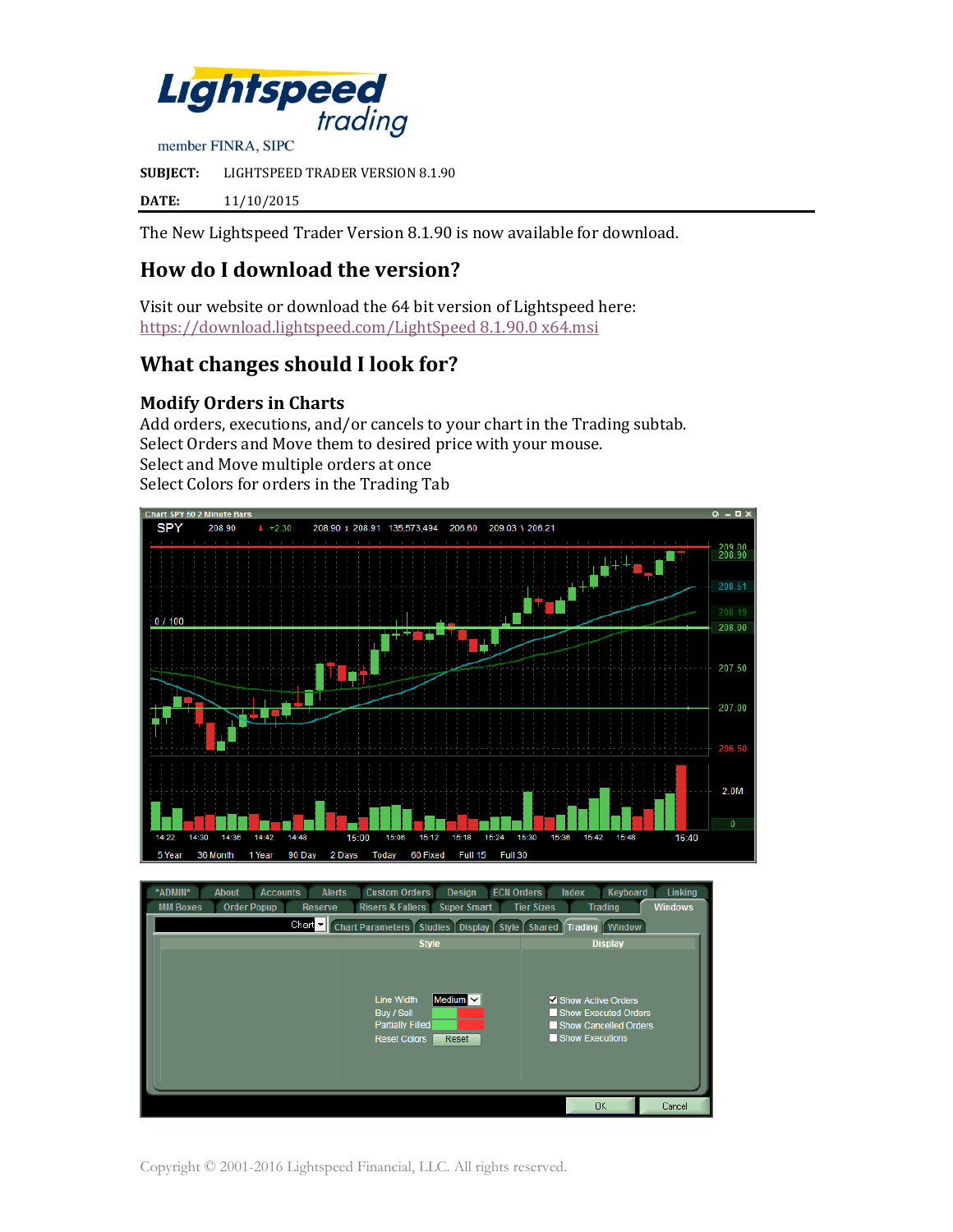

member FINRA, SIPC

**SUBJECT:** LIGHTSPEED TRADER VERSION 8.1.90

**DATE:** 11/10/2015

The New Lightspeed Trader Version 8.1.90 is now available for download.

# **How do I download the version?**

Visit our website or download the 64 bit version of Lightspeed here: [https://download.lightspeed.com/LightSpeed 8.1.90.0 x64.msi](https://download.lightspeed.com/LightSpeed%208.1.90.0%20x64.msi)

# **What changes should I look for?**

#### **Modify Orders in Charts**

Add orders, executions, and/or cancels to your chart in the Trading subtab. Select Orders and Move them to desired price with your mouse. Select and Move multiple orders at once Select Colors for orders in the Trading Tab



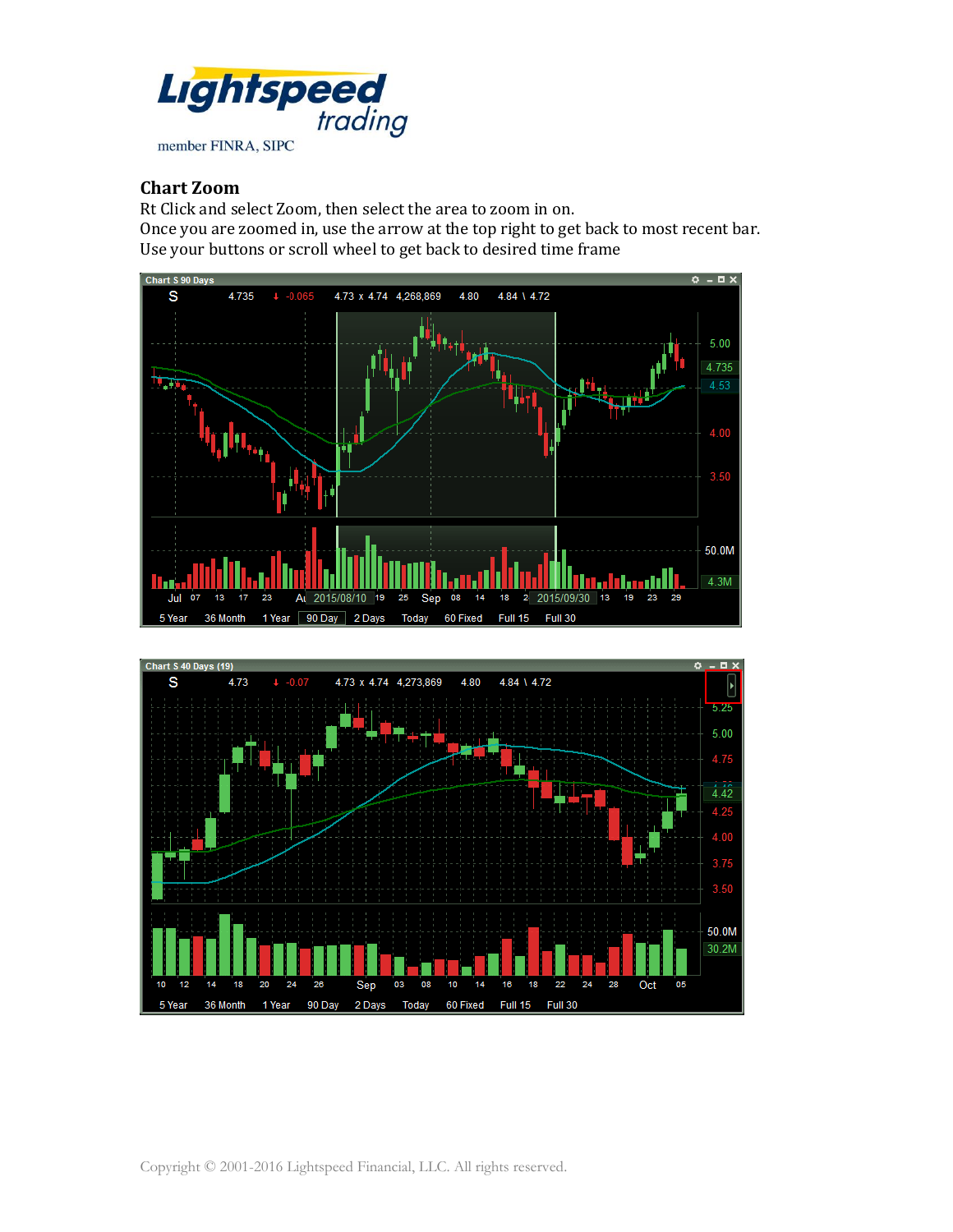

#### **Chart Zoom**

Rt Click and select Zoom, then select the area to zoom in on. Once you are zoomed in, use the arrow at the top right to get back to most recent bar. Use your buttons or scroll wheel to get back to desired time frame



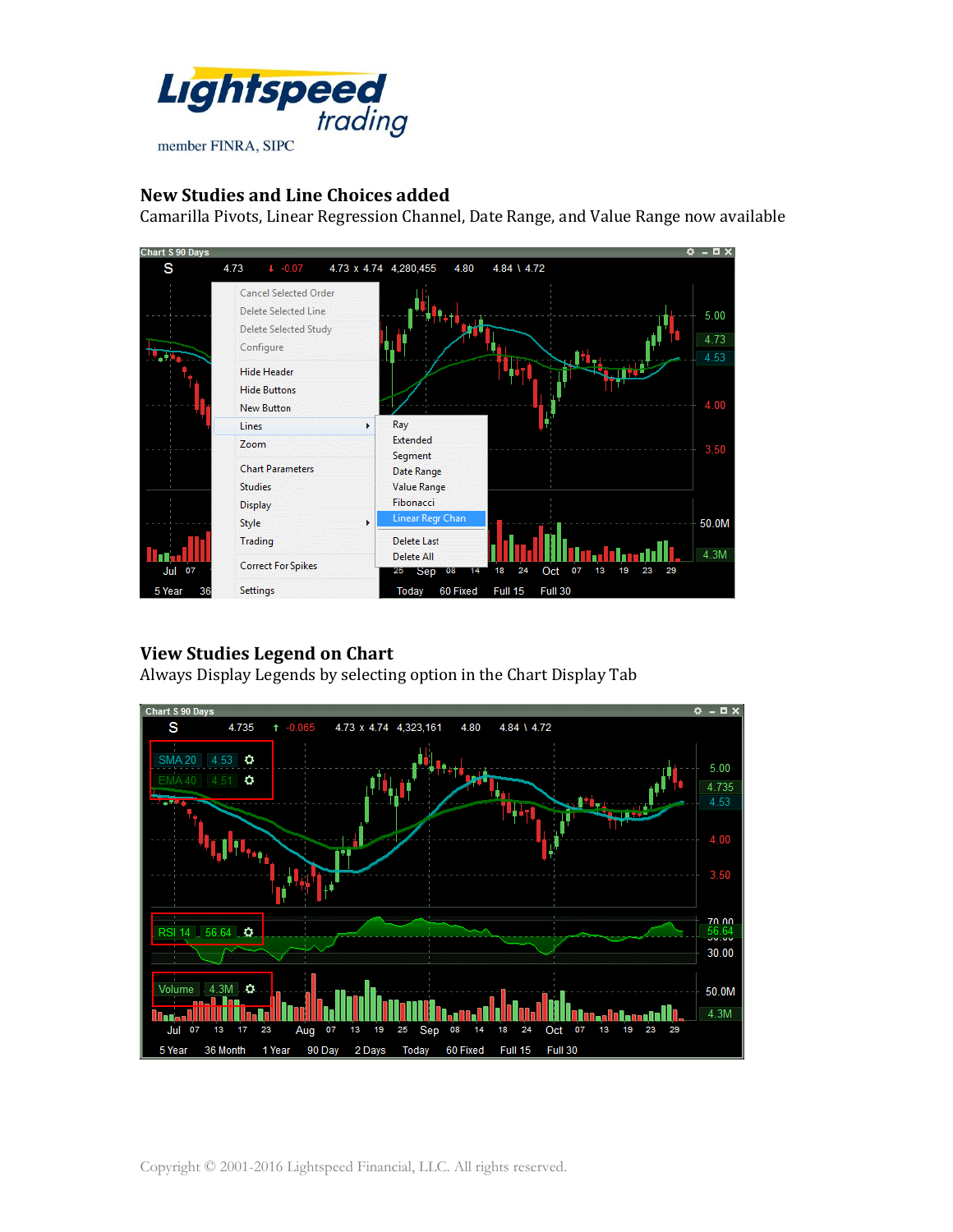

#### **New Studies and Line Choices added**

Camarilla Pivots, Linear Regression Channel, Date Range, and Value Range now available



### **View Studies Legend on Chart**

Always Display Legends by selecting option in the Chart Display Tab